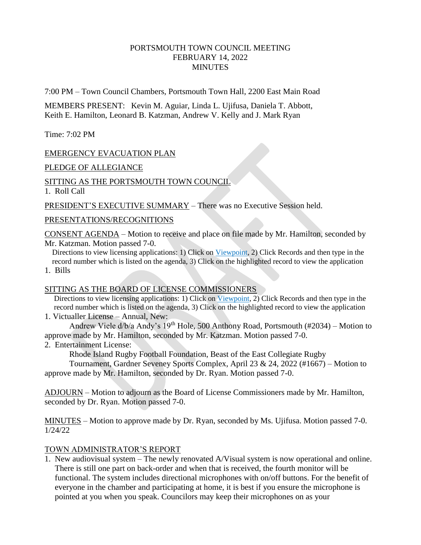# PORTSMOUTH TOWN COUNCIL MEETING FEBRUARY 14, 2022 **MINUTES**

7:00 PM – Town Council Chambers, Portsmouth Town Hall, 2200 East Main Road

MEMBERS PRESENT: Kevin M. Aguiar, Linda L. Ujifusa, Daniela T. Abbott, Keith E. Hamilton, Leonard B. Katzman, Andrew V. Kelly and J. Mark Ryan

Time: 7:02 PM

# EMERGENCY EVACUATION PLAN

PLEDGE OF ALLEGIANCE

## SITTING AS THE PORTSMOUTH TOWN COUNCIL

1. Roll Call

PRESIDENT'S EXECUTIVE SUMMARY – There was no Executive Session held.

### PRESENTATIONS/RECOGNITIONS

CONSENT AGENDA – Motion to receive and place on file made by Mr. Hamilton, seconded by Mr. Katzman. Motion passed 7-0.

 Directions to view licensing applications: 1) Click on Viewpoint, 2) Click Records and then type in the record number which is listed on the agenda, 3) Click on the highlighted record to view the application

1. Bills

## SITTING AS THE BOARD OF LICENSE COMMISSIONERS

Directions to view licensing applications: 1) Click on Viewpoint, 2) Click Records and then type in the record number which is listed on the agenda, 3) Click on the highlighted record to view the application 1. Victualler License – Annual, New:

Andrew Viele d/b/a Andy's 19th Hole, 500 Anthony Road, Portsmouth (#2034) – Motion to approve made by Mr. Hamilton, seconded by Mr. Katzman. Motion passed 7-0.

2. Entertainment License:

Rhode Island Rugby Football Foundation, Beast of the East Collegiate Rugby

Tournament, Gardner Seveney Sports Complex, April 23 & 24, 2022 (#1667) – Motion to approve made by Mr. Hamilton, seconded by Dr. Ryan. Motion passed 7-0.

ADJOURN – Motion to adjourn as the Board of License Commissioners made by Mr. Hamilton, seconded by Dr. Ryan. Motion passed 7-0.

MINUTES – Motion to approve made by Dr. Ryan, seconded by Ms. Ujifusa. Motion passed 7-0. 1/24/22

## TOWN ADMINISTRATOR'S REPORT

1. New audiovisual system – The newly renovated A/Visual system is now operational and online. There is still one part on back-order and when that is received, the fourth monitor will be functional. The system includes directional microphones with on/off buttons. For the benefit of everyone in the chamber and participating at home, it is best if you ensure the microphone is pointed at you when you speak. Councilors may keep their microphones on as your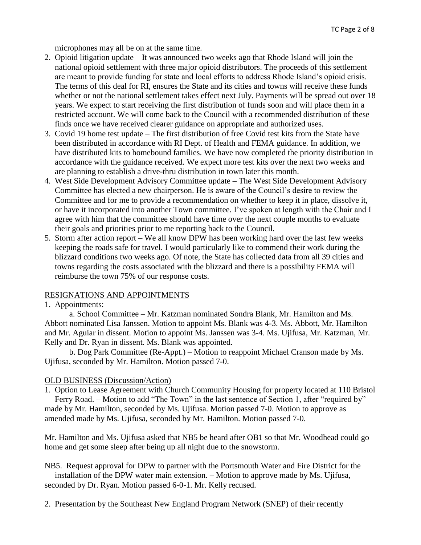microphones may all be on at the same time.

- 2. Opioid litigation update It was announced two weeks ago that Rhode Island will join the national opioid settlement with three major opioid distributors. The proceeds of this settlement are meant to provide funding for state and local efforts to address Rhode Island's opioid crisis. The terms of this deal for RI, ensures the State and its cities and towns will receive these funds whether or not the national settlement takes effect next July. Payments will be spread out over 18 years. We expect to start receiving the first distribution of funds soon and will place them in a restricted account. We will come back to the Council with a recommended distribution of these finds once we have received clearer guidance on appropriate and authorized uses.
- 3. Covid 19 home test update The first distribution of free Covid test kits from the State have been distributed in accordance with RI Dept. of Health and FEMA guidance. In addition, we have distributed kits to homebound families. We have now completed the priority distribution in accordance with the guidance received. We expect more test kits over the next two weeks and are planning to establish a drive-thru distribution in town later this month.
- 4. West Side Development Advisory Committee update The West Side Development Advisory Committee has elected a new chairperson. He is aware of the Council's desire to review the Committee and for me to provide a recommendation on whether to keep it in place, dissolve it, or have it incorporated into another Town committee. I've spoken at length with the Chair and I agree with him that the committee should have time over the next couple months to evaluate their goals and priorities prior to me reporting back to the Council.
- 5. Storm after action report We all know DPW has been working hard over the last few weeks keeping the roads safe for travel. I would particularly like to commend their work during the blizzard conditions two weeks ago. Of note, the State has collected data from all 39 cities and towns regarding the costs associated with the blizzard and there is a possibility FEMA will reimburse the town 75% of our response costs.

## RESIGNATIONS AND APPOINTMENTS

### 1. Appointments:

a. School Committee – Mr. Katzman nominated Sondra Blank, Mr. Hamilton and Ms. Abbott nominated Lisa Janssen. Motion to appoint Ms. Blank was 4-3. Ms. Abbott, Mr. Hamilton and Mr. Aguiar in dissent. Motion to appoint Ms. Janssen was 3-4. Ms. Ujifusa, Mr. Katzman, Mr. Kelly and Dr. Ryan in dissent. Ms. Blank was appointed.

b. Dog Park Committee (Re-Appt.) – Motion to reappoint Michael Cranson made by Ms. Ujifusa, seconded by Mr. Hamilton. Motion passed 7-0.

## OLD BUSINESS (Discussion/Action)

1. Option to Lease Agreement with Church Community Housing for property located at 110 Bristol Ferry Road. – Motion to add "The Town" in the last sentence of Section 1, after "required by"

made by Mr. Hamilton, seconded by Ms. Ujifusa. Motion passed 7-0. Motion to approve as amended made by Ms. Ujifusa, seconded by Mr. Hamilton. Motion passed 7-0.

Mr. Hamilton and Ms. Ujifusa asked that NB5 be heard after OB1 so that Mr. Woodhead could go home and get some sleep after being up all night due to the snowstorm.

NB5. Request approval for DPW to partner with the Portsmouth Water and Fire District for the installation of the DPW water main extension. – Motion to approve made by Ms. Ujifusa, seconded by Dr. Ryan. Motion passed 6-0-1. Mr. Kelly recused.

2. Presentation by the Southeast New England Program Network (SNEP) of their recently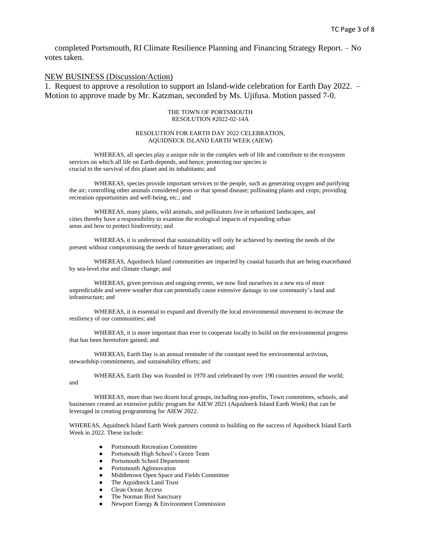completed Portsmouth, RI Climate Resilience Planning and Financing Strategy Report. – No votes taken.

### NEW BUSINESS (Discussion/Action)

1. Request to approve a resolution to support an Island-wide celebration for Earth Day 2022. – Motion to approve made by Mr. Katzman, seconded by Ms. Ujifusa. Motion passed 7-0.

#### THE TOWN OF PORTSMOUTH RESOLUTION #2022-02-14A

### RESOLUTION FOR EARTH DAY 2022 CELEBRATION, AQUIDNECK ISLAND EARTH WEEK (AIEW)

WHEREAS, all species play a unique role in the complex web of life and contribute to the ecosystem services on which all life on Earth depends, and hence, protecting our species is crucial to the survival of this planet and its inhabitants; and

WHEREAS, species provide important services to the people, such as generating oxygen and purifying the air; controlling other animals considered pests or that spread disease; pollinating plants and crops; providing recreation opportunities and well-being, etc.; and

WHEREAS, many plants, wild animals, and pollinators live in urbanized landscapes, and cities thereby have a responsibility to examine the ecological impacts of expanding urban areas and how to protect biodiversity; and

WHEREAS, it is understood that sustainability will only be achieved by meeting the needs of the present without compromising the needs of future generations; and

WHEREAS, Aquidneck Island communities are impacted by coastal hazards that are being exacerbated by sea-level rise and climate change; and

WHEREAS, given previous and ongoing events, we now find ourselves in a new era of more unpredictable and severe weather that can potentially cause extensive damage to our community's land and infrastructure; and

WHEREAS, it is essential to expand and diversify the local environmental movement to increase the resiliency of our communities; and

WHEREAS, it is more important than ever to cooperate locally to build on the environmental progress that has been heretofore gained; and

WHEREAS, Earth Day is an annual reminder of the constant need for environmental activism, stewardship commitments, and sustainability efforts; and

WHEREAS, Earth Day was founded in 1970 and celebrated by over 190 countries around the world;

WHEREAS, more than two dozen local groups, including non-profits, Town committees, schools, and businesses created an extensive public program for AIEW 2021 (Aquidneck Island Earth Week) that can be leveraged in creating programming for AIEW 2022.

WHEREAS, Aquidneck Island Earth Week partners commit to building on the success of Aquidneck Island Earth Week in 2022. These include:

- Portsmouth Recreation Committee
- Portsmouth High School's Green Team
- Portsmouth School Department
- Portsmouth AgInnovation
- Middletown Open Space and Fields Committee
- The Aquidneck Land Trust
- Clean Ocean Access

and

- The Norman Bird Sanctuary
- Newport Energy & Environment Commission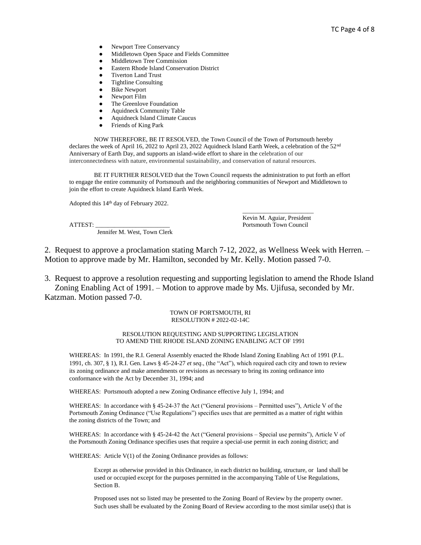- Newport Tree Conservancy
- Middletown Open Space and Fields Committee
- Middletown Tree Commission
- Eastern Rhode Island Conservation District
- **Tiverton Land Trust**
- Tightline Consulting
- **Bike Newport**
- Newport Film
- The Greenlove Foundation
- Aquidneck Community Table
- Aquidneck Island Climate Caucus
- Friends of King Park

NOW THEREFORE, BE IT RESOLVED, the Town Council of the Town of Portsmouth hereby declares the week of April 16, 2022 to April 23, 2022 Aquidneck Island Earth Week, a celebration of the 52<sup>nd</sup> Anniversary of Earth Day, and supports an island-wide effort to share in the celebration of our interconnectedness with nature, environmental sustainability, and conservation of natural resources.

BE IT FURTHER RESOLVED that the Town Council requests the administration to put forth an effort to engage the entire community of Portsmouth and the neighboring communities of Newport and Middletown to join the effort to create Aquidneck Island Earth Week.

Adopted this 14th day of February 2022.

Jennifer M. West, Town Clerk

\_\_\_\_\_\_\_\_\_\_\_\_\_\_\_\_\_\_\_\_\_\_\_ Kevin M. Aguiar, President ATTEST: \_\_\_\_\_\_\_\_\_\_\_\_\_\_\_\_\_\_\_\_\_\_\_\_ Portsmouth Town Council

2. Request to approve a proclamation stating March 7-12, 2022, as Wellness Week with Herren. – Motion to approve made by Mr. Hamilton, seconded by Mr. Kelly. Motion passed 7-0.

3. Request to approve a resolution requesting and supporting legislation to amend the Rhode Island Zoning Enabling Act of 1991. – Motion to approve made by Ms. Ujifusa, seconded by Mr. Katzman. Motion passed 7-0.

### TOWN OF PORTSMOUTH, RI RESOLUTION # 2022-02-14C

### RESOLUTION REQUESTING AND SUPPORTING LEGISLATION TO AMEND THE RHODE ISLAND ZONING ENABLING ACT OF 1991

WHEREAS: In 1991, the R.I. General Assembly enacted the Rhode Island Zoning Enabling Act of 1991 (P.L. 1991, ch. 307, § 1), R.I. Gen. Laws § 45-24-27 *et seq.*, (the "Act"), which required each city and town to review its zoning ordinance and make amendments or revisions as necessary to bring its zoning ordinance into conformance with the Act by December 31, 1994; and

WHEREAS: Portsmouth adopted a new Zoning Ordinance effective July 1, 1994; and

WHEREAS: In accordance with § 45-24-37 the Act ("General provisions – Permitted uses"), Article V of the Portsmouth Zoning Ordinance ("Use Regulations") specifies uses that are permitted as a matter of right within the zoning districts of the Town; and

WHEREAS: In accordance with § 45-24-42 the Act ("General provisions – Special use permits"), Article V of the Portsmouth Zoning Ordinance specifies uses that require a special-use permit in each zoning district; and

WHEREAS: Article V(1) of the Zoning Ordinance provides as follows:

Except as otherwise provided in this Ordinance, in each district no building, structure, or land shall be used or occupied except for the purposes permitted in the accompanying Table of Use Regulations, Section B.

Proposed uses not so listed may be presented to the Zoning Board of Review by the property owner. Such uses shall be evaluated by the Zoning Board of Review according to the most similar use(s) that is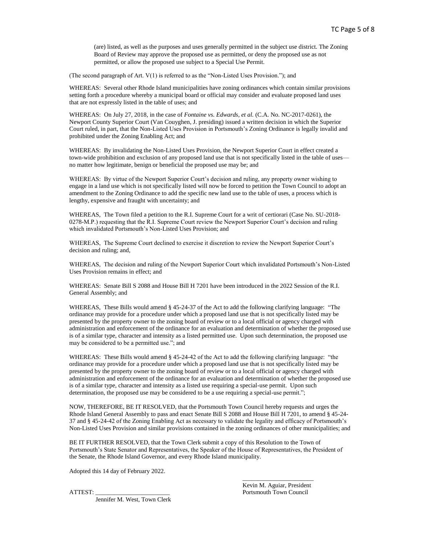(are) listed, as well as the purposes and uses generally permitted in the subject use district. The Zoning Board of Review may approve the proposed use as permitted, or deny the proposed use as not permitted, or allow the proposed use subject to a Special Use Permit.

(The second paragraph of Art. V(1) is referred to as the "Non-Listed Uses Provision."); and

WHEREAS: Several other Rhode Island municipalities have zoning ordinances which contain similar provisions setting forth a procedure whereby a municipal board or official may consider and evaluate proposed land uses that are not expressly listed in the table of uses; and

WHEREAS: On July 27, 2018, in the case of *Fontaine vs. Edwards, et al.* (C.A. No. NC-2017-0261), the Newport County Superior Court (Van Couyghen, J. presiding) issued a written decision in which the Superior Court ruled, in part, that the Non-Listed Uses Provision in Portsmouth's Zoning Ordinance is legally invalid and prohibited under the Zoning Enabling Act; and

WHEREAS: By invalidating the Non-Listed Uses Provision, the Newport Superior Court in effect created a town-wide prohibition and exclusion of any proposed land use that is not specifically listed in the table of uses no matter how legitimate, benign or beneficial the proposed use may be; and

WHEREAS: By virtue of the Newport Superior Court's decision and ruling, any property owner wishing to engage in a land use which is not specifically listed will now be forced to petition the Town Council to adopt an amendment to the Zoning Ordinance to add the specific new land use to the table of uses, a process which is lengthy, expensive and fraught with uncertainty; and

WHEREAS, The Town filed a petition to the R.I. Supreme Court for a writ of certiorari (Case No. SU-2018- 0278-M.P.) requesting that the R.I. Supreme Court review the Newport Superior Court's decision and ruling which invalidated Portsmouth's Non-Listed Uses Provision; and

WHEREAS, The Supreme Court declined to exercise it discretion to review the Newport Superior Court's decision and ruling; and,

WHEREAS, The decision and ruling of the Newport Superior Court which invalidated Portsmouth's Non-Listed Uses Provision remains in effect; and

WHEREAS: Senate Bill S 2088 and House Bill H 7201 have been introduced in the 2022 Session of the R.I. General Assembly; and

WHEREAS, These Bills would amend § 45-24-37 of the Act to add the following clarifying language: "The ordinance may provide for a procedure under which a proposed land use that is not specifically listed may be presented by the property owner to the zoning board of review or to a local official or agency charged with administration and enforcement of the ordinance for an evaluation and determination of whether the proposed use is of a similar type, character and intensity as a listed permitted use. Upon such determination, the proposed use may be considered to be a permitted use."; and

WHEREAS: These Bills would amend § 45-24-42 of the Act to add the following clarifying language: "the ordinance may provide for a procedure under which a proposed land use that is not specifically listed may be presented by the property owner to the zoning board of review or to a local official or agency charged with administration and enforcement of the ordinance for an evaluation and determination of whether the proposed use is of a similar type, character and intensity as a listed use requiring a special-use permit. Upon such determination, the proposed use may be considered to be a use requiring a special-use permit.";

NOW, THEREFORE, BE IT RESOLVED, that the Portsmouth Town Council hereby requests and urges the Rhode Island General Assembly to pass and enact Senate Bill S 2088 and House Bill H 7201, to amend § 45-24- 37 and § 45-24-42 of the Zoning Enabling Act as necessary to validate the legality and efficacy of Portsmouth's Non-Listed Uses Provision and similar provisions contained in the zoning ordinances of other municipalities; and

BE IT FURTHER RESOLVED, that the Town Clerk submit a copy of this Resolution to the Town of Portsmouth's State Senator and Representatives, the Speaker of the House of Representatives, the President of the Senate, the Rhode Island Governor, and every Rhode Island municipality.

Adopted this 14 day of February 2022.

Jennifer M. West, Town Clerk

\_\_\_\_\_\_\_\_\_\_\_\_\_\_\_\_\_\_\_\_\_\_\_ Kevin M. Aguiar, President ATTEST: Portsmouth Town Council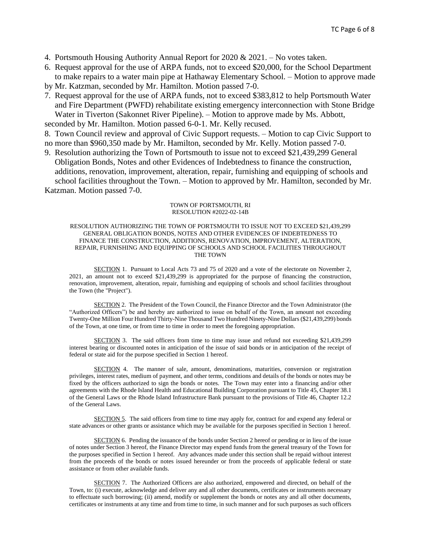- 4. Portsmouth Housing Authority Annual Report for 2020 & 2021. No votes taken.
- 6. Request approval for the use of ARPA funds, not to exceed \$20,000, for the School Department to make repairs to a water main pipe at Hathaway Elementary School. – Motion to approve made
- by Mr. Katzman, seconded by Mr. Hamilton. Motion passed 7-0.
- 7. Request approval for the use of ARPA funds, not to exceed \$383,812 to help Portsmouth Water and Fire Department (PWFD) rehabilitate existing emergency interconnection with Stone Bridge Water in Tiverton (Sakonnet River Pipeline). – Motion to approve made by Ms. Abbott,

seconded by Mr. Hamilton. Motion passed 6-0-1. Mr. Kelly recused.

- 8. Town Council review and approval of Civic Support requests. Motion to cap Civic Support to no more than \$960,350 made by Mr. Hamilton, seconded by Mr. Kelly. Motion passed 7-0.
- 9. Resolution authorizing the Town of Portsmouth to issue not to exceed \$21,439,299 General Obligation Bonds, Notes and other Evidences of Indebtedness to finance the construction, additions, renovation, improvement, alteration, repair, furnishing and equipping of schools and school facilities throughout the Town. – Motion to approved by Mr. Hamilton, seconded by Mr. Katzman. Motion passed 7-0.

### TOWN OF PORTSMOUTH, RI RESOLUTION #2022-02-14B

### RESOLUTION AUTHORIZING THE TOWN OF PORTSMOUTH TO ISSUE NOT TO EXCEED \$21,439,299 GENERAL OBLIGATION BONDS, NOTES AND OTHER EVIDENCES OF INDEBTEDNESS TO FINANCE THE CONSTRUCTION, ADDITIONS, RENOVATION, IMPROVEMENT, ALTERATION, REPAIR, FURNISHING AND EQUIPPING OF SCHOOLS AND SCHOOL FACILITIES THROUGHOUT THE TOWN

SECTION 1. Pursuant to Local Acts 73 and 75 of 2020 and a vote of the electorate on November 2, 2021, an amount not to exceed \$21,439,299 is appropriated for the purpose of financing the construction, renovation, improvement, alteration, repair, furnishing and equipping of schools and school facilities throughout the Town (the "Project").

SECTION 2. The President of the Town Council, the Finance Director and the Town Administrator (the "Authorized Officers") be and hereby are authorized to issue on behalf of the Town, an amount not exceeding Twenty-One Million Four Hundred Thirty-Nine Thousand Two Hundred Ninety-Nine Dollars (\$21,439,299) bonds of the Town, at one time, or from time to time in order to meet the foregoing appropriation.

SECTION 3. The said officers from time to time may issue and refund not exceeding \$21,439,299 interest bearing or discounted notes in anticipation of the issue of said bonds or in anticipation of the receipt of federal or state aid for the purpose specified in Section 1 hereof.

SECTION 4. The manner of sale, amount, denominations, maturities, conversion or registration privileges, interest rates, medium of payment, and other terms, conditions and details of the bonds or notes may be fixed by the officers authorized to sign the bonds or notes. The Town may enter into a financing and/or other agreements with the Rhode Island Health and Educational Building Corporation pursuant to Title 45, Chapter 38.1 of the General Laws or the Rhode Island Infrastructure Bank pursuant to the provisions of Title 46, Chapter 12.2 of the General Laws.

SECTION 5. The said officers from time to time may apply for, contract for and expend any federal or state advances or other grants or assistance which may be available for the purposes specified in Section 1 hereof.

SECTION 6. Pending the issuance of the bonds under Section 2 hereof or pending or in lieu of the issue of notes under Section 3 hereof, the Finance Director may expend funds from the general treasury of the Town for the purposes specified in Section 1 hereof. Any advances made under this section shall be repaid without interest from the proceeds of the bonds or notes issued hereunder or from the proceeds of applicable federal or state assistance or from other available funds.

SECTION 7. The Authorized Officers are also authorized, empowered and directed, on behalf of the Town, to: (i) execute, acknowledge and deliver any and all other documents, certificates or instruments necessary to effectuate such borrowing; (ii) amend, modify or supplement the bonds or notes any and all other documents, certificates or instruments at any time and from time to time, in such manner and for such purposes as such officers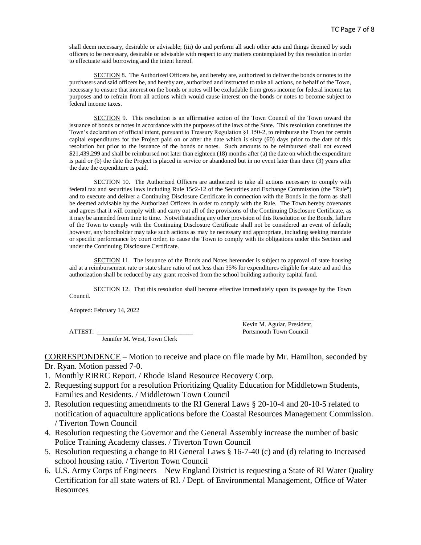shall deem necessary, desirable or advisable; (iii) do and perform all such other acts and things deemed by such officers to be necessary, desirable or advisable with respect to any matters contemplated by this resolution in order to effectuate said borrowing and the intent hereof.

SECTION 8. The Authorized Officers be, and hereby are, authorized to deliver the bonds or notes to the purchasers and said officers be, and hereby are, authorized and instructed to take all actions, on behalf of the Town, necessary to ensure that interest on the bonds or notes will be excludable from gross income for federal income tax purposes and to refrain from all actions which would cause interest on the bonds or notes to become subject to federal income taxes.

SECTION 9. This resolution is an affirmative action of the Town Council of the Town toward the issuance of bonds or notes in accordance with the purposes of the laws of the State. This resolution constitutes the Town's declaration of official intent, pursuant to Treasury Regulation §1.150-2, to reimburse the Town for certain capital expenditures for the Project paid on or after the date which is sixty (60) days prior to the date of this resolution but prior to the issuance of the bonds or notes. Such amounts to be reimbursed shall not exceed \$21,439,299 and shall be reimbursed not later than eighteen (18) months after (a) the date on which the expenditure is paid or (b) the date the Project is placed in service or abandoned but in no event later than three (3) years after the date the expenditure is paid.

SECTION 10. The Authorized Officers are authorized to take all actions necessary to comply with federal tax and securities laws including Rule 15c2-12 of the Securities and Exchange Commission (the "Rule") and to execute and deliver a Continuing Disclosure Certificate in connection with the Bonds in the form as shall be deemed advisable by the Authorized Officers in order to comply with the Rule. The Town hereby covenants and agrees that it will comply with and carry out all of the provisions of the Continuing Disclosure Certificate, as it may be amended from time to time. Notwithstanding any other provision of this Resolution or the Bonds, failure of the Town to comply with the Continuing Disclosure Certificate shall not be considered an event of default; however, any bondholder may take such actions as may be necessary and appropriate, including seeking mandate or specific performance by court order, to cause the Town to comply with its obligations under this Section and under the Continuing Disclosure Certificate.

SECTION 11. The issuance of the Bonds and Notes hereunder is subject to approval of state housing aid at a reimbursement rate or state share ratio of not less than 35% for expenditures eligible for state aid and this authorization shall be reduced by any grant received from the school building authority capital fund.

SECTION 12. That this resolution shall become effective immediately upon its passage by the Town Council.

Adopted: February 14, 2022

Jennifer M. West, Town Clerk

\_\_\_\_\_\_\_\_\_\_\_\_\_\_\_\_\_\_\_\_\_\_\_ Kevin M. Aguiar, President, ATTEST: Portsmouth Town Council

CORRESPONDENCE – Motion to receive and place on file made by Mr. Hamilton, seconded by Dr. Ryan. Motion passed 7-0.

- 1. Monthly RIRRC Report. / Rhode Island Resource Recovery Corp.
- 2. Requesting support for a resolution Prioritizing Quality Education for Middletown Students, Families and Residents. / Middletown Town Council
- 3. Resolution requesting amendments to the RI General Laws § 20-10-4 and 20-10-5 related to notification of aquaculture applications before the Coastal Resources Management Commission. / Tiverton Town Council
- 4. Resolution requesting the Governor and the General Assembly increase the number of basic Police Training Academy classes. / Tiverton Town Council
- 5. Resolution requesting a change to RI General Laws § 16-7-40 (c) and (d) relating to Increased school housing ratio. / Tiverton Town Council
- 6. U.S. Army Corps of Engineers New England District is requesting a State of RI Water Quality Certification for all state waters of RI. / Dept. of Environmental Management, Office of Water **Resources**